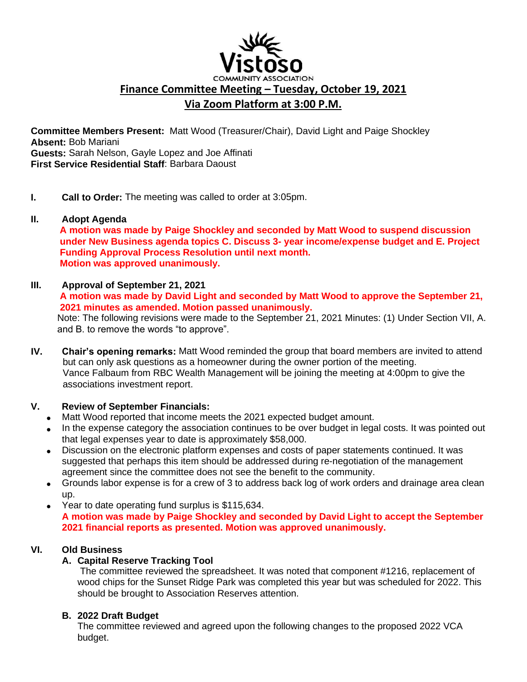

**Finance Committee Meeting – Tuesday, October 19, 2021**

# **Via Zoom Platform at 3:00 P.M.**

**Committee Members Present:** Matt Wood (Treasurer/Chair), David Light and Paige Shockley **Absent:** Bob Mariani **Guests:** Sarah Nelson, Gayle Lopez and Joe Affinati **First Service Residential Staff**: Barbara Daoust

**I. Call to Order:** The meeting was called to order at 3:05pm.

#### **II. Adopt Agenda**

 **A motion was made by Paige Shockley and seconded by Matt Wood to suspend discussion under New Business agenda topics C. Discuss 3- year income/expense budget and E. Project Funding Approval Process Resolution until next month. Motion was approved unanimously.** 

#### **III. Approval of September 21, 2021**

# **A motion was made by David Light and seconded by Matt Wood to approve the September 21, 2021 minutes as amended. Motion passed unanimously.**

 Note: The following revisions were made to the September 21, 2021 Minutes: (1) Under Section VII, A. and B. to remove the words "to approve".

**IV. Chair's opening remarks:** Matt Wood reminded the group that board members are invited to attend but can only ask questions as a homeowner during the owner portion of the meeting. Vance Falbaum from RBC Wealth Management will be joining the meeting at 4:00pm to give the associations investment report.

# **V. Review of September Financials:**

- Matt Wood reported that income meets the 2021 expected budget amount.
- In the expense category the association continues to be over budget in legal costs. It was pointed out that legal expenses year to date is approximately \$58,000.
- Discussion on the electronic platform expenses and costs of paper statements continued. It was suggested that perhaps this item should be addressed during re-negotiation of the management agreement since the committee does not see the benefit to the community.
- Grounds labor expense is for a crew of 3 to address back log of work orders and drainage area clean up.
- Year to date operating fund surplus is \$115,634. **A motion was made by Paige Shockley and seconded by David Light to accept the September 2021 financial reports as presented. Motion was approved unanimously.**

# **VI. Old Business**

# **A. Capital Reserve Tracking Tool**

The committee reviewed the spreadsheet. It was noted that component #1216, replacement of wood chips for the Sunset Ridge Park was completed this year but was scheduled for 2022. This should be brought to Association Reserves attention.

# **B. 2022 Draft Budget**

The committee reviewed and agreed upon the following changes to the proposed 2022 VCA budget.